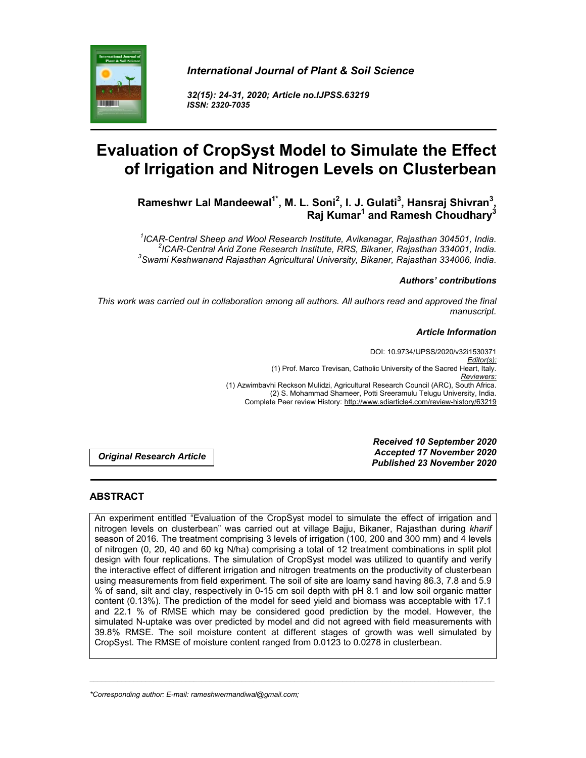

*32(15): 24-31, 2020; Article no.IJPSS.63219 ISSN: 2320-7035*



**Rameshwr Lal Mandeewal1\*, M. L. Soni<sup>2</sup> , I. J. Gulati<sup>3</sup> , Hansraj Shivran<sup>3</sup> , Raj Kumar1 and Ramesh Choudhary3**

*1 ICAR-Central Sheep and Wool Research Institute, Avikanagar, Rajasthan 304501, India. <sup>2</sup> ICAR-Central Arid Zone Research Institute, RRS, Bikaner, Rajasthan 334001, India. <sup>3</sup> Swami Keshwanand Rajasthan Agricultural University, Bikaner, Rajasthan 334006, India.*

#### *Authors' contributions*

*This work was carried out in collaboration among all authors. All authors read and approved the final manuscript.*

#### *Article Information*

DOI: 10.9734/IJPSS/2020/v32i1530371 *Editor(s):* (1) Prof. Marco Trevisan, Catholic University of the Sacred Heart, Italy. *Reviewers:* (1) Azwimbavhi Reckson Mulidzi, Agricultural Research Council (ARC), South Africa. (2) S. Mohammad Shameer, Potti Sreeramulu Telugu University, India. Complete Peer review History: http://www.sdiarticle4.com/review-history/63219

*Original Research Article*

*Received 10 September 2020 Accepted 17 November 2020 Published 23 November 2020*

## **ABSTRACT**

An experiment entitled "Evaluation of the CropSyst model to simulate the effect of irrigation and nitrogen levels on clusterbean" was carried out at village Bajju, Bikaner, Rajasthan during *kharif*  season of 2016. The treatment comprising 3 levels of irrigation (100, 200 and 300 mm) and 4 levels of nitrogen (0, 20, 40 and 60 kg N/ha) comprising a total of 12 treatment combinations in split plot design with four replications. The simulation of CropSyst model was utilized to quantify and verify the interactive effect of different irrigation and nitrogen treatments on the productivity of clusterbean using measurements from field experiment. The soil of site are loamy sand having 86.3, 7.8 and 5.9 % of sand, silt and clay, respectively in 0-15 cm soil depth with pH 8.1 and low soil organic matter content (0.13%). The prediction of the model for seed yield and biomass was acceptable with 17.1 and 22.1 % of RMSE which may be considered good prediction by the model. However, the simulated N-uptake was over predicted by model and did not agreed with field measurements with 39.8% RMSE. The soil moisture content at different stages of growth was well simulated by CropSyst. The RMSE of moisture content ranged from 0.0123 to 0.0278 in clusterbean.

\_\_\_\_\_\_\_\_\_\_\_\_\_\_\_\_\_\_\_\_\_\_\_\_\_\_\_\_\_\_\_\_\_\_\_\_\_\_\_\_\_\_\_\_\_\_\_\_\_\_\_\_\_\_\_\_\_\_\_\_\_\_\_\_\_\_\_\_\_\_\_\_\_\_\_\_\_\_\_\_\_\_\_\_\_\_\_\_\_\_\_\_\_\_\_\_\_\_\_\_\_

*\*Corresponding author: E-mail: rameshwermandiwal@gmail.com;*

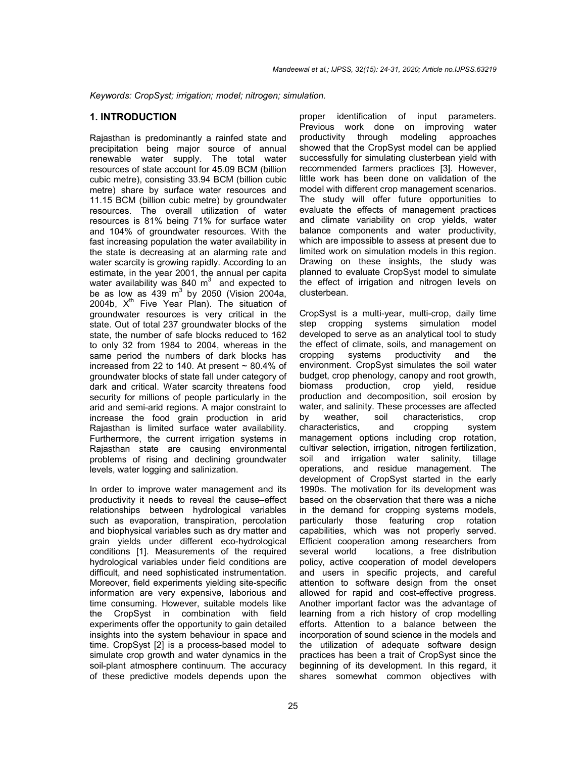*Keywords: CropSyst; irrigation; model; nitrogen; simulation.*

### **1. INTRODUCTION**

Rajasthan is predominantly a rainfed state and precipitation being major source of annual renewable water supply. The total water resources of state account for 45.09 BCM (billion cubic metre), consisting 33.94 BCM (billion cubic metre) share by surface water resources and 11.15 BCM (billion cubic metre) by groundwater resources. The overall utilization of water resources is 81% being 71% for surface water and 104% of groundwater resources. With the fast increasing population the water availability in the state is decreasing at an alarming rate and water scarcity is growing rapidly. According to an estimate, in the year 2001, the annual per capita water availability was 840  $m^3$  and expected to be as low as  $439 \text{ m}^3$  by 2050 (Vision 2004a, 2004b,  $X^{th}$  Five Year Plan). The situation of groundwater resources is very critical in the state. Out of total 237 groundwater blocks of the state, the number of safe blocks reduced to 162 to only 32 from 1984 to 2004, whereas in the same period the numbers of dark blocks has increased from 22 to 140. At present  $\sim$  80.4% of groundwater blocks of state fall under category of dark and critical. Water scarcity threatens food security for millions of people particularly in the arid and semi-arid regions. A major constraint to increase the food grain production in arid Rajasthan is limited surface water availability. Furthermore, the current irrigation systems in Rajasthan state are causing environmental problems of rising and declining groundwater levels, water logging and salinization.

In order to improve water management and its productivity it needs to reveal the cause–effect relationships between hydrological variables such as evaporation, transpiration, percolation and biophysical variables such as dry matter and grain yields under different eco-hydrological conditions [1]. Measurements of the required hydrological variables under field conditions are difficult, and need sophisticated instrumentation. Moreover, field experiments yielding site-specific information are very expensive, laborious and time consuming. However, suitable models like the CropSyst in combination with field experiments offer the opportunity to gain detailed insights into the system behaviour in space and time. CropSyst [2] is a process-based model to simulate crop growth and water dynamics in the soil-plant atmosphere continuum. The accuracy of these predictive models depends upon the

proper identification of input parameters. Previous work done on improving water productivity through modeling approaches showed that the CropSyst model can be applied successfully for simulating clusterbean yield with recommended farmers practices [3]. However, little work has been done on validation of the model with different crop management scenarios. The study will offer future opportunities to evaluate the effects of management practices and climate variability on crop yields, water balance components and water productivity, which are impossible to assess at present due to limited work on simulation models in this region. Drawing on these insights, the study was planned to evaluate CropSyst model to simulate the effect of irrigation and nitrogen levels on clusterbean.

CropSyst is a multi-year, multi-crop, daily time step cropping systems simulation model developed to serve as an analytical tool to study the effect of climate, soils, and management on cropping systems productivity and the environment. CropSyst simulates the soil water budget, crop phenology, canopy and root growth, biomass production, crop yield, residue production and decomposition, soil erosion by water, and salinity. These processes are affected by weather, soil characteristics, crop characteristics, and cropping system management options including crop rotation, cultivar selection, irrigation, nitrogen fertilization, soil and irrigation water salinity, tillage operations, and residue management. The development of CropSyst started in the early 1990s. The motivation for its development was based on the observation that there was a niche in the demand for cropping systems models, particularly those featuring crop rotation capabilities, which was not properly served. Efficient cooperation among researchers from<br>several world bocations, a free distribution locations, a free distribution policy, active cooperation of model developers and users in specific projects, and careful attention to software design from the onset allowed for rapid and cost-effective progress. Another important factor was the advantage of learning from a rich history of crop modelling efforts. Attention to a balance between the incorporation of sound science in the models and the utilization of adequate software design practices has been a trait of CropSyst since the beginning of its development. In this regard, it shares somewhat common objectives with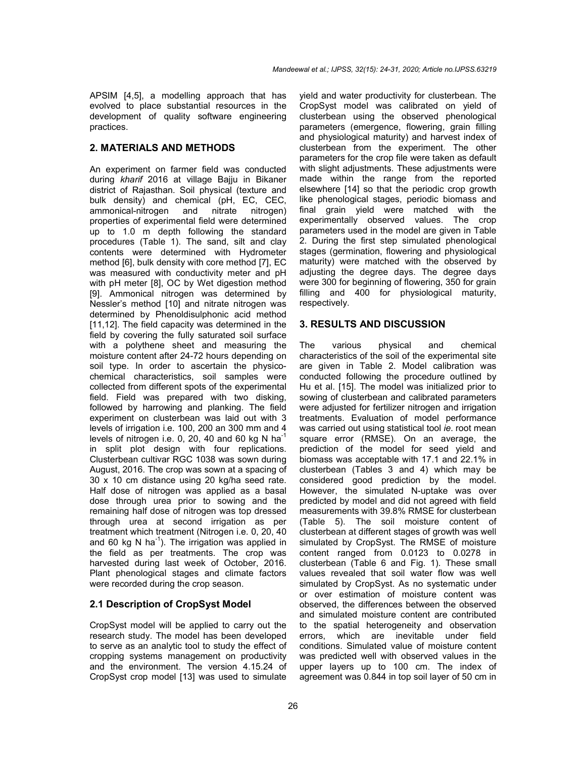APSIM [4,5], a modelling approach that has evolved to place substantial resources in the development of quality software engineering practices.

# **2. MATERIALS AND METHODS**

An experiment on farmer field was conducted during *kharif* 2016 at village Bajju in Bikaner district of Rajasthan. Soil physical (texture and bulk density) and chemical (pH, EC, CEC, ammonical-nitrogen and nitrate nitrogen) ammonical-nitrogen and nitrate nitrogen) properties of experimental field were determined up to 1.0 m depth following the standard procedures (Table 1). The sand, silt and clay contents were determined with Hydrometer method [6], bulk density with core method [7], EC was measured with conductivity meter and pH with pH meter [8], OC by Wet digestion method [9]. Ammonical nitrogen was determined by Nessler's method [10] and nitrate nitrogen was determined by Phenoldisulphonic acid method [11,12]. The field capacity was determined in the field by covering the fully saturated soil surface with a polythene sheet and measuring the moisture content after 24-72 hours depending on soil type. In order to ascertain the physicochemical characteristics, soil samples were collected from different spots of the experimental field. Field was prepared with two disking, followed by harrowing and planking. The field experiment on clusterbean was laid out with 3 levels of irrigation i.e. 100, 200 an 300 mm and 4 levels of nitrogen i.e. 0, 20, 40 and 60 kg N  $ha^{-1}$ in split plot design with four replications. Clusterbean cultivar RGC 1038 was sown during August, 2016. The crop was sown at a spacing of 30 x 10 cm distance using 20 kg/ha seed rate. Half dose of nitrogen was applied as a basal dose through urea prior to sowing and the remaining half dose of nitrogen was top dressed through urea at second irrigation as per treatment which treatment (Nitrogen i.e. 0, 20, 40 and 60 kg N ha<sup>-1</sup>). The irrigation was applied in the field as per treatments. The crop was harvested during last week of October, 2016. Plant phenological stages and climate factors were recorded during the crop season.

## **2.1 Description of CropSyst Model**

CropSyst model will be applied to carry out the research study. The model has been developed to serve as an analytic tool to study the effect of cropping systems management on productivity and the environment. The version 4.15.24 of CropSyst crop model [13] was used to simulate

yield and water productivity for clusterbean. The CropSyst model was calibrated on yield of clusterbean using the observed phenological parameters (emergence, flowering, grain filling and physiological maturity) and harvest index of clusterbean from the experiment. The other parameters for the crop file were taken as default with slight adjustments. These adjustments were made within the range from the reported elsewhere [14] so that the periodic crop growth like phenological stages, periodic biomass and final grain yield were matched with the experimentally observed values. The crop parameters used in the model are given in Table 2. During the first step simulated phenological stages (germination, flowering and physiological maturity) were matched with the observed by adjusting the degree days. The degree days were 300 for beginning of flowering, 350 for grain filling and 400 for physiological maturity, respectively.

# **3. RESULTS AND DISCUSSION**

The various physical and chemical characteristics of the soil of the experimental site are given in Table 2. Model calibration was conducted following the procedure outlined by Hu et al. [15]. The model was initialized prior to sowing of clusterbean and calibrated parameters were adjusted for fertilizer nitrogen and irrigation treatments. Evaluation of model performance was carried out using statistical tool *ie*. root mean square error (RMSE). On an average, the prediction of the model for seed yield and biomass was acceptable with 17.1 and 22.1% in clusterbean (Tables 3 and 4) which may be considered good prediction by the model. However, the simulated N-uptake was over predicted by model and did not agreed with field measurements with 39.8% RMSE for clusterbean (Table 5). The soil moisture content of clusterbean at different stages of growth was well simulated by CropSyst. The RMSE of moisture content ranged from 0.0123 to 0.0278 in clusterbean (Table 6 and Fig. 1). These small values revealed that soil water flow was well simulated by CropSyst. As no systematic under or over estimation of moisture content was observed, the differences between the observed and simulated moisture content are contributed to the spatial heterogeneity and observation errors, which are inevitable under field conditions. Simulated value of moisture content was predicted well with observed values in the upper layers up to 100 cm. The index of agreement was 0.844 in top soil layer of 50 cm in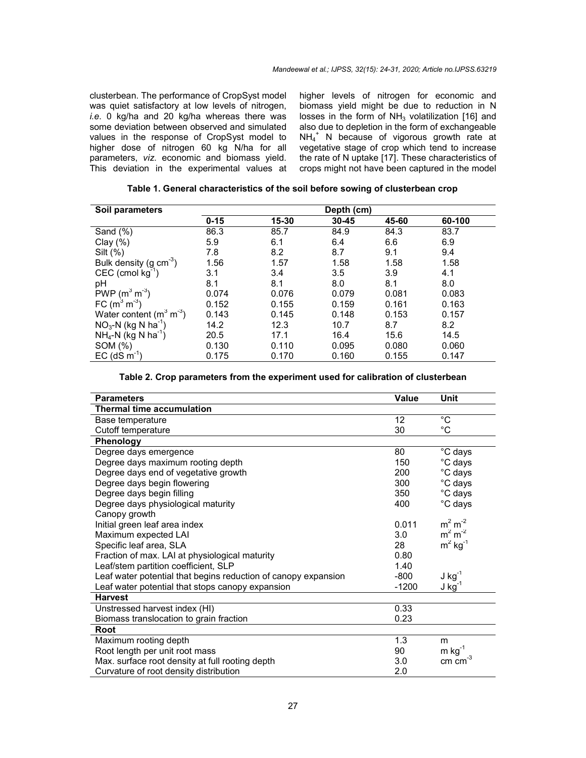clusterbean. The performance of CropSyst model was quiet satisfactory at low levels of nitrogen, *i.e*. 0 kg/ha and 20 kg/ha whereas there was some deviation between observed and simulated values in the response of CropSyst model to higher dose of nitrogen 60 kg N/ha for all parameters, *viz*. economic and biomass yield. This deviation in the experimental values at

higher levels of nitrogen for economic and biomass yield might be due to reduction in N losses in the form of  $NH<sub>3</sub>$  volatilization [16] and also due to depletion in the form of exchangeable NH<sub>4</sub><sup>+</sup> N because of vigorous growth rate at vegetative stage of crop which tend to increase the rate of N uptake [17]. These characteristics of crops might not have been captured in the model

| Soil parameters                   |          |       | Depth (cm) |       |        |  |
|-----------------------------------|----------|-------|------------|-------|--------|--|
|                                   | $0 - 15$ | 15-30 | $30 - 45$  | 45-60 | 60-100 |  |
| Sand (%)                          | 86.3     | 85.7  | 84.9       | 84.3  | 83.7   |  |
| Clay $(\%)$                       | 5.9      | 6.1   | 6.4        | 6.6   | 6.9    |  |
| Silt $(\%)$                       | 7.8      | 8.2   | 8.7        | 9.1   | 9.4    |  |
| Bulk density (g $cm^{-3}$ )       | 1.56     | 1.57  | 1.58       | 1.58  | 1.58   |  |
| CEC (cmol $kg^{-1}$ )             | 3.1      | 3.4   | 3.5        | 3.9   | 4.1    |  |
| pH                                | 8.1      | 8.1   | 8.0        | 8.1   | 8.0    |  |
| PWP $(m^3 m^3)$<br>FC $(m^3 m^3)$ | 0.074    | 0.076 | 0.079      | 0.081 | 0.083  |  |
|                                   | 0.152    | 0.155 | 0.159      | 0.161 | 0.163  |  |
| Water content $(m^3 m^3)$         | 0.143    | 0.145 | 0.148      | 0.153 | 0.157  |  |
| $NO3-N$ (kg N ha <sup>-1</sup> )  | 14.2     | 12.3  | 10.7       | 8.7   | 8.2    |  |
| $NH_4-N$ (kg N ha <sup>-1</sup> ) | 20.5     | 17.1  | 16.4       | 15.6  | 14.5   |  |
| SOM (%)                           | 0.130    | 0.110 | 0.095      | 0.080 | 0.060  |  |
| $EC$ (dS m <sup>-1</sup> )        | 0.175    | 0.170 | 0.160      | 0.155 | 0.147  |  |

|  |  |  |  |  |  | Table 1. General characteristics of the soil before sowing of clusterbean crop |
|--|--|--|--|--|--|--------------------------------------------------------------------------------|
|--|--|--|--|--|--|--------------------------------------------------------------------------------|

|  |  | Table 2. Crop parameters from the experiment used for calibration of clusterbean |
|--|--|----------------------------------------------------------------------------------|
|--|--|----------------------------------------------------------------------------------|

| <b>Parameters</b>                                              | Value   | Unit                  |
|----------------------------------------------------------------|---------|-----------------------|
| <b>Thermal time accumulation</b>                               |         |                       |
| Base temperature                                               | 12      | $^{\circ}$ C          |
| Cutoff temperature                                             | 30      | $^{\circ}$ C          |
| Phenology                                                      |         |                       |
| Degree days emergence                                          | 80      | $\overline{C}$ days   |
| Degree days maximum rooting depth                              | 150     | °C days               |
| Degree days end of vegetative growth                           | 200     | °C days               |
| Degree days begin flowering                                    | 300     | °C days               |
| Degree days begin filling                                      | 350     | °C days               |
| Degree days physiological maturity                             | 400     | °C days               |
| Canopy growth                                                  |         |                       |
| Initial green leaf area index                                  | 0.011   | $m2 m-2$              |
| Maximum expected LAI                                           | 3.0     | $m2 m-2$              |
| Specific leaf area, SLA                                        | 28      | $m2$ kg <sup>-1</sup> |
| Fraction of max. LAI at physiological maturity                 | 0.80    |                       |
| Leaf/stem partition coefficient, SLP                           | 1.40    |                       |
| Leaf water potential that begins reduction of canopy expansion | $-800$  | $J$ kg <sup>-1</sup>  |
| Leaf water potential that stops canopy expansion               | $-1200$ | $J$ kg <sup>-1</sup>  |
| <b>Harvest</b>                                                 |         |                       |
| Unstressed harvest index (HI)                                  | 0.33    |                       |
| Biomass translocation to grain fraction                        | 0.23    |                       |
| Root                                                           |         |                       |
| Maximum rooting depth                                          | 1.3     | m                     |
| Root length per unit root mass                                 | 90      | $m$ kg <sup>-1</sup>  |
| Max. surface root density at full rooting depth                | 3.0     | cm $cm^{-3}$          |
| Curvature of root density distribution                         | 2.0     |                       |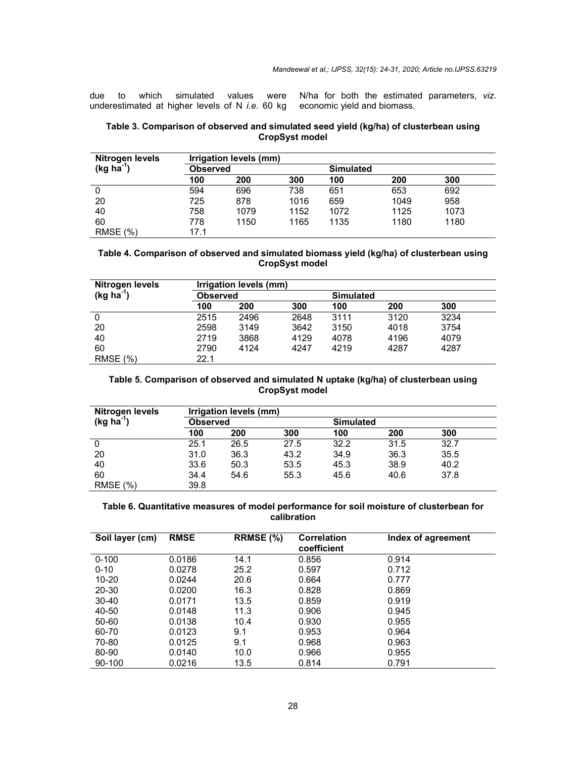due to which simulated values were underestimated at higher levels of N *i.e*. 60 kg N/ha for both the estimated parameters, *viz*. economic yield and biomass.

### **Table 3. Comparison of observed and simulated seed yield (kg/ha) of clusterbean using CropSyst model**

| <b>Nitrogen levels</b> | Irrigation levels (mm) |                 |      |      |                  |      |  |
|------------------------|------------------------|-----------------|------|------|------------------|------|--|
| $(kg ha-1)$            |                        | <b>Observed</b> |      |      | <b>Simulated</b> |      |  |
|                        | 100                    | 200             | 300  | 100  | 200              | 300  |  |
| 0                      | 594                    | 696             | 738  | 651  | 653              | 692  |  |
| 20                     | 725                    | 878             | 1016 | 659  | 1049             | 958  |  |
| 40                     | 758                    | 1079            | 1152 | 1072 | 1125             | 1073 |  |
| 60                     | 778                    | 1150            | 1165 | 1135 | 1180             | 1180 |  |
| <b>RMSE</b> (%)        | 17.1                   |                 |      |      |                  |      |  |

### **Table 4. Comparison of observed and simulated biomass yield (kg/ha) of clusterbean using CropSyst model**

| <b>Nitrogen levels</b> |                 | Irrigation levels (mm) |      |                  |      |      |  |  |
|------------------------|-----------------|------------------------|------|------------------|------|------|--|--|
| $(kg ha-1)$            | <b>Observed</b> |                        |      | <b>Simulated</b> |      |      |  |  |
|                        | 100             | 200                    | 300  | 100              | 200  | 300  |  |  |
| 0                      | 2515            | 2496                   | 2648 | 3111             | 3120 | 3234 |  |  |
| 20                     | 2598            | 3149                   | 3642 | 3150             | 4018 | 3754 |  |  |
| 40                     | 2719            | 3868                   | 4129 | 4078             | 4196 | 4079 |  |  |
| 60                     | 2790            | 4124                   | 4247 | 4219             | 4287 | 4287 |  |  |
| <b>RMSE</b> (%)        | 22.1            |                        |      |                  |      |      |  |  |

#### **Table 5. Comparison of observed and simulated N uptake (kg/ha) of clusterbean using CropSyst model**

| <b>Nitrogen levels</b> |      | Irrigation levels (mm) |      |      |                  |      |  |  |
|------------------------|------|------------------------|------|------|------------------|------|--|--|
| $(kg ha-1)$            |      | <b>Observed</b>        |      |      | <b>Simulated</b> |      |  |  |
|                        | 100  | 200                    | 300  | 100  | 200              | 300  |  |  |
|                        | 25.1 | 26.5                   | 27.5 | 32.2 | 31.5             | 32.7 |  |  |
| 20                     | 31.0 | 36.3                   | 43.2 | 34.9 | 36.3             | 35.5 |  |  |
| 40                     | 33.6 | 50.3                   | 53.5 | 45.3 | 38.9             | 40.2 |  |  |
| 60                     | 34.4 | 54.6                   | 55.3 | 45.6 | 40.6             | 37.8 |  |  |
| <b>RMSE</b> (%)        | 39.8 |                        |      |      |                  |      |  |  |

## **Table 6. Quantitative measures of model performance for soil moisture of clusterbean for calibration**

| Soil layer (cm) | <b>RMSE</b> | RRMSE (%) | <b>Correlation</b><br>coefficient | Index of agreement |
|-----------------|-------------|-----------|-----------------------------------|--------------------|
| $0 - 100$       | 0.0186      | 14.1      | 0.856                             | 0.914              |
| $0 - 10$        | 0.0278      | 25.2      | 0.597                             | 0.712              |
| $10 - 20$       | 0.0244      | 20.6      | 0.664                             | 0.777              |
| $20 - 30$       | 0.0200      | 16.3      | 0.828                             | 0.869              |
| $30 - 40$       | 0.0171      | 13.5      | 0.859                             | 0.919              |
| 40-50           | 0.0148      | 11.3      | 0.906                             | 0.945              |
| 50-60           | 0.0138      | 10.4      | 0.930                             | 0.955              |
| 60-70           | 0.0123      | 9.1       | 0.953                             | 0.964              |
| 70-80           | 0.0125      | 9.1       | 0.968                             | 0.963              |
| 80-90           | 0.0140      | 10.0      | 0.966                             | 0.955              |
| 90-100          | 0.0216      | 13.5      | 0.814                             | 0.791              |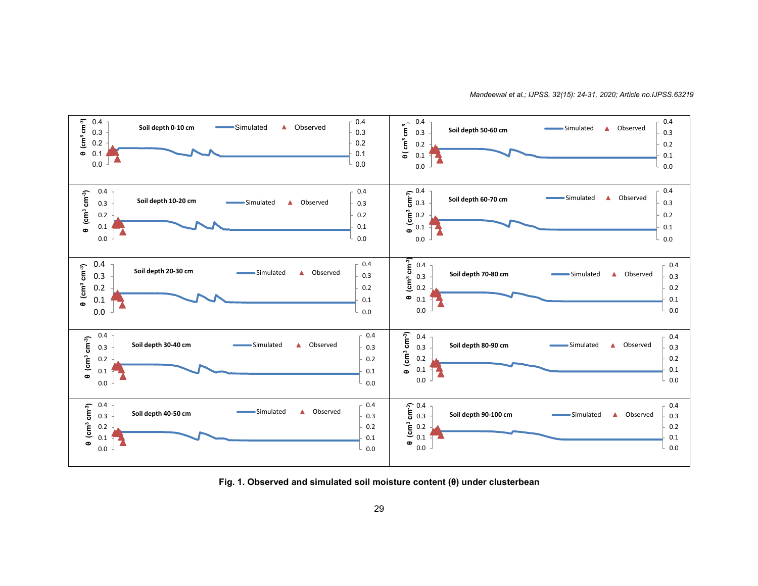

*Mandeewal et al.; IJPSS, 32(15): 24-31, 2020; Article no.IJPSS.63219*

**Fig. 1. Observed and simulated soil moisture content (θ) under clusterbean**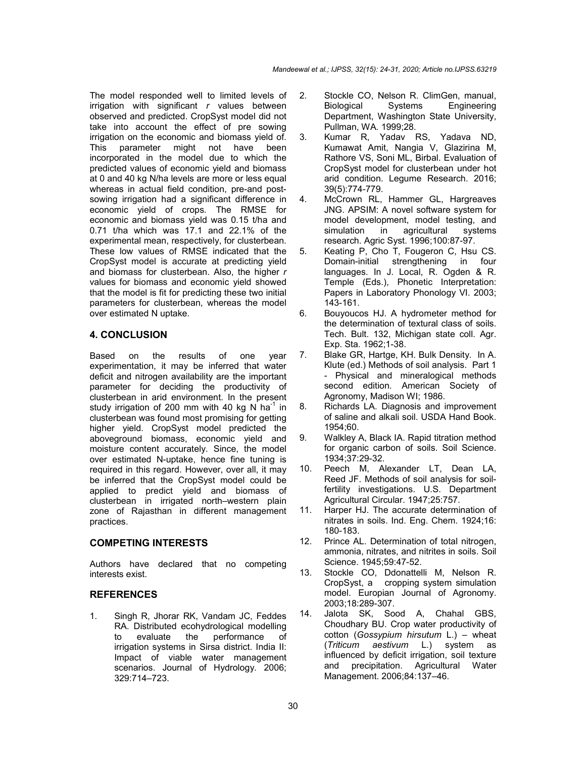The model responded well to limited levels of irrigation with significant *r* values between observed and predicted. CropSyst model did not take into account the effect of pre sowing irrigation on the economic and biomass yield of.<br>This parameter might not have been parameter might not have been incorporated in the model due to which the predicted values of economic yield and biomass at 0 and 40 kg N/ha levels are more or less equal whereas in actual field condition, pre-and postsowing irrigation had a significant difference in economic yield of crops. The RMSE for economic and biomass yield was 0.15 t/ha and 0.71 t/ha which was 17.1 and 22.1% of the experimental mean, respectively, for clusterbean. These low values of RMSE indicated that the CropSyst model is accurate at predicting yield and biomass for clusterbean. Also, the higher *r* values for biomass and economic yield showed that the model is fit for predicting these two initial parameters for clusterbean, whereas the model over estimated N uptake.

# **4. CONCLUSION**

Based on the results of one year experimentation, it may be inferred that water deficit and nitrogen availability are the important parameter for deciding the productivity of clusterbean in arid environment. In the present study irrigation of 200 mm with 40 kg N ha<sup>-1</sup> in clusterbean was found most promising for getting higher yield. CropSyst model predicted the aboveground biomass, economic yield and moisture content accurately. Since, the model over estimated N-uptake, hence fine tuning is required in this regard. However, over all, it may be inferred that the CropSyst model could be applied to predict yield and biomass of clusterbean in irrigated north–western plain zone of Rajasthan in different management practices.

## **COMPETING INTERESTS**

Authors have declared that no competing interests exist.

## **REFERENCES**

1. Singh R, Jhorar RK, Vandam JC, Feddes RA. Distributed ecohydrological modelling to evaluate the performance of irrigation systems in Sirsa district. India II: Impact of viable water management scenarios. Journal of Hydrology. 2006; 329:714–723.

- 2. Stockle CO, Nelson R. ClimGen, manual, Biological Systems Engineering Department, Washington State University, Pullman, WA*.* 1999;28.
- 3. Kumar R, Yadav RS, Yadava ND, Kumawat Amit, Nangia V, Glazirina M, Rathore VS, Soni ML, Birbal. Evaluation of CropSyst model for clusterbean under hot arid condition. Legume Research. 2016; 39(5):774-779.
- 4. McCrown RL, Hammer GL, Hargreaves JNG. APSIM: A novel software system for model development, model testing, and simulation in agricultural systems research. Agric Syst. 1996;100:87-97.
- 5. Keating P, Cho T, Fougeron C, Hsu CS. Domain-initial strengthening in four languages. In J. Local, R. Ogden & R. Temple (Eds.), Phonetic Interpretation: Papers in Laboratory Phonology VI. 2003; 143-161.
- 6. Bouyoucos HJ. A hydrometer method for the determination of textural class of soils. Tech. Bult. 132, Michigan state coll. Agr. Exp. Sta. 1962;1-38.
- 7. Blake GR, Hartge, KH. Bulk Density. In A. Klute (ed.) Methods of soil analysis. Part 1 - Physical and mineralogical methods second edition. American Society of Agronomy, Madison WI; 1986.
- 8. Richards LA. Diagnosis and improvement of saline and alkali soil. USDA Hand Book. 1954;60.
- 9. Walkley A, Black IA. Rapid titration method for organic carbon of soils. Soil Science. 1934;37:29-32.
- 10. Peech M, Alexander LT, Dean LA, Reed JF. Methods of soil analysis for soilfertility investigations. U.S. Department Agricultural Circular. 1947;25:757.
- 11. Harper HJ. The accurate determination of nitrates in soils. Ind. Eng. Chem. 1924;16: 180-183.
- 12. Prince AL. Determination of total nitrogen, ammonia, nitrates, and nitrites in soils. Soil Science. 1945;59:47-52.
- 13. Stockle CO, Ddonattelli M, Nelson R. CropSyst, a cropping system simulation model. Europian Journal of Agronomy. 2003;18:289-307.
- 14. Jalota SK, Sood A, Chahal GBS, Choudhary BU. Crop water productivity of cotton (*Gossypium hirsutum* L.) – wheat (*Triticum aestivum* L.) system as influenced by deficit irrigation, soil texture and precipitation. Agricultural Water Management. 2006;84:137–46.